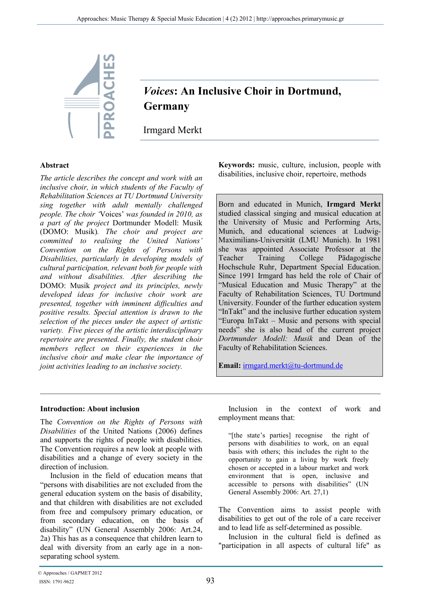

# *Voices***: An Inclusive Choir in Dortmund, Germany**

Irmgard Merkt

### **Abstract**

*The article describes the concept and work with an inclusive choir, in which students of the Faculty of Rehabilitation Sciences at TU Dortmund University sing together with adult mentally challenged people. The choir '*Voices' *was founded in 2010, as a part of the project* Dortmunder Modell: Musik (DOMO: Musik)*. The choir and project are committed to realising the United Nations' Convention on the Rights of Persons with Disabilities, particularly in developing models of cultural participation, relevant both for people with and without disabilities. After describing the*  DOMO: Musik *project and its principles, newly developed ideas for inclusive choir work are presented, together with imminent difficulties and positive results. Special attention is drawn to the selection of the pieces under the aspect of artistic variety. Five pieces of the artistic interdisciplinary repertoire are presented. Finally, the student choir members reflect on their experiences in the inclusive choir and make clear the importance of joint activities leading to an inclusive society.* 

**Keywords:** music, culture, inclusion, people with disabilities, inclusive choir, repertoire, methods

Born and educated in Munich, **Irmgard Merkt** studied classical singing and musical education at the University of Music and Performing Arts, Munich, and educational sciences at Ludwig-Maximilians-Universität (LMU Munich). In 1981 she was appointed Associate Professor at the Teacher Training College Pädagogische Hochschule Ruhr, Department Special Education. Since 1991 Irmgard has held the role of Chair of "Musical Education and Music Therapy" at the Faculty of Rehabilitation Sciences, TU Dortmund University. Founder of the further education system "InTakt" and the inclusive further education system "Europa InTakt – Music and persons with special needs" she is also head of the current project *Dortmunder Modell: Musik* and Dean of the Faculty of Rehabilitation Sciences.

**Email:** irmgard.merkt@tu-dortmund.de

### **Introduction: About inclusion**

The *Convention on the Rights of Persons with Disabilities* of the United Nations (2006) defines and supports the rights of people with disabilities. The Convention requires a new look at people with disabilities and a change of every society in the direction of inclusion.

Inclusion in the field of education means that "persons with disabilities are not excluded from the general education system on the basis of disability, and that children with disabilities are not excluded from free and compulsory primary education, or from secondary education, on the basis of disability" (UN General Assembly 2006: Art.24, 2a) This has as a consequence that children learn to deal with diversity from an early age in a nonseparating school system.

Inclusion in the context of work and employment means that:

"[the state's parties] recognise the right of persons with disabilities to work, on an equal basis with others; this includes the right to the opportunity to gain a living by work freely chosen or accepted in a labour market and work environment that is open, inclusive and accessible to persons with disabilities" (UN General Assembly 2006: Art. 27,1)

The Convention aims to assist people with disabilities to get out of the role of a care receiver and to lead life as self-determined as possible.

Inclusion in the cultural field is defined as "participation in all aspects of cultural life" as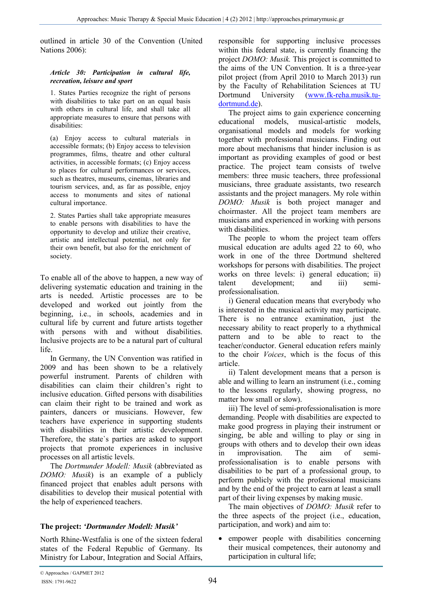outlined in article 30 of the Convention (United Nations 2006):

#### *Article 30: Participation in cultural life, recreation, leisure and sport*

1. States Parties recognize the right of persons with disabilities to take part on an equal basis with others in cultural life, and shall take all appropriate measures to ensure that persons with disabilities:

(a) Enjoy access to cultural materials in accessible formats; (b) Enjoy access to television programmes, films, theatre and other cultural activities, in accessible formats; (c) Enjoy access to places for cultural performances or services, such as theatres, museums, cinemas, libraries and tourism services, and, as far as possible, enjoy access to monuments and sites of national cultural importance.

2. States Parties shall take appropriate measures to enable persons with disabilities to have the opportunity to develop and utilize their creative, artistic and intellectual potential, not only for their own benefit, but also for the enrichment of society.

To enable all of the above to happen, a new way of delivering systematic education and training in the arts is needed. Artistic processes are to be developed and worked out jointly from the beginning, i.e., in schools, academies and in cultural life by current and future artists together with persons with and without disabilities. Inclusive projects are to be a natural part of cultural life.

In Germany, the UN Convention was ratified in 2009 and has been shown to be a relatively powerful instrument. Parents of children with disabilities can claim their children's right to inclusive education. Gifted persons with disabilities can claim their right to be trained and work as painters, dancers or musicians. However, few teachers have experience in supporting students with disabilities in their artistic development. Therefore, the state`s parties are asked to support projects that promote experiences in inclusive processes on all artistic levels.

The *Dortmunder Modell: Musik* (abbreviated as *DOMO: Musik*) is an example of a publicly financed project that enables adult persons with disabilities to develop their musical potential with the help of experienced teachers.

# **The project:** *'Dortmunder Modell: Musik'*

North Rhine-Westfalia is one of the sixteen federal states of the Federal Republic of Germany. Its Ministry for Labour, Integration and Social Affairs, responsible for supporting inclusive processes within this federal state, is currently financing the project *DOMO: Musik.* This project is committed to the aims of the UN Convention. It is a three-year pilot project (from April 2010 to March 2013) run by the Faculty of Rehabilitation Sciences at TU Dortmund University (www.fk-reha.musik.tudortmund.de).

The project aims to gain experience concerning educational models, musical-artistic models, organisational models and models for working together with professional musicians. Finding out more about mechanisms that hinder inclusion is as important as providing examples of good or best practice. The project team consists of twelve members: three music teachers, three professional musicians, three graduate assistants, two research assistants and the project managers. My role within *DOMO: Musik* is both project manager and choirmaster. All the project team members are musicians and experienced in working with persons with disabilities.

The people to whom the project team offers musical education are adults aged 22 to 60, who work in one of the three Dortmund sheltered workshops for persons with disabilities. The project works on three levels: i) general education; ii) talent development; and iii) semiprofessionalisation.

i) General education means that everybody who is interested in the musical activity may participate. There is no entrance examination, just the necessary ability to react properly to a rhythmical pattern and to be able to react to the teacher/conductor. General education refers mainly to the choir *Voices*, which is the focus of this article.

ii) Talent development means that a person is able and willing to learn an instrument (i.e., coming to the lessons regularly, showing progress, no matter how small or slow).

iii) The level of semi-professionalisation is more demanding. People with disabilities are expected to make good progress in playing their instrument or singing, be able and willing to play or sing in groups with others and to develop their own ideas in improvisation. The aim of semiprofessionalisation is to enable persons with disabilities to be part of a professional group, to perform publicly with the professional musicians and by the end of the project to earn at least a small part of their living expenses by making music.

The main objectives of *DOMO: Musik* refer to the three aspects of the project (i.e., education, participation, and work) and aim to:

empower people with disabilities concerning their musical competences, their autonomy and participation in cultural life;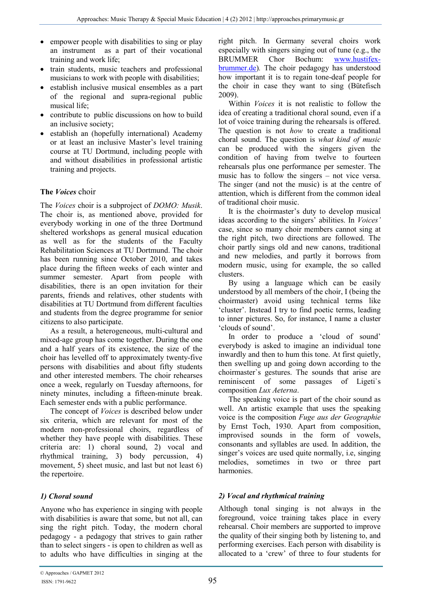- empower people with disabilities to sing or play an instrument as a part of their vocational training and work life;
- train students, music teachers and professional musicians to work with people with disabilities;
- establish inclusive musical ensembles as a part of the regional and supra-regional public musical life;
- contribute to public discussions on how to build an inclusive society;
- establish an (hopefully international) Academy or at least an inclusive Master's level training course at TU Dortmund, including people with and without disabilities in professional artistic training and projects.

# **The** *Voices* choir

The *Voices* choir is a subproject of *DOMO: Musik*. The choir is, as mentioned above, provided for everybody working in one of the three Dortmund sheltered workshops as general musical education as well as for the students of the Faculty Rehabilitation Sciences at TU Dortmund. The choir has been running since October 2010, and takes place during the fifteen weeks of each winter and summer semester. Apart from people with disabilities, there is an open invitation for their parents, friends and relatives, other students with disabilities at TU Dortmund from different faculties and students from the degree programme for senior citizens to also participate.

As a result, a heterogeneous, multi-cultural and mixed-age group has come together. During the one and a half years of its existence, the size of the choir has levelled off to approximately twenty-five persons with disabilities and about fifty students and other interested members. The choir rehearses once a week, regularly on Tuesday afternoons, for ninety minutes, including a fifteen-minute break. Each semester ends with a public performance.

The concept of *Voices* is described below under six criteria, which are relevant for most of the modern non-professional choirs, regardless of whether they have people with disabilities. These criteria are: 1) choral sound, 2) vocal and rhythmical training, 3) body percussion, 4) movement, 5) sheet music, and last but not least 6) the repertoire.

# *1) Choral sound*

Anyone who has experience in singing with people with disabilities is aware that some, but not all, can sing the right pitch. Today, the modern choral pedagogy - a pedagogy that strives to gain rather than to select singers - is open to children as well as to adults who have difficulties in singing at the

right pitch. In Germany several choirs work especially with singers singing out of tune (e.g., the BRUMMER Chor Bochum: www.hustifexbrummer.de)*.* The choir pedagogy has understood how important it is to regain tone-deaf people for the choir in case they want to sing (Bütefisch 2009).

Within *Voices* it is not realistic to follow the idea of creating a traditional choral sound, even if a lot of voice training during the rehearsals is offered. The question is not *how* to create a traditional choral sound. The question is *what kind of music* can be produced with the singers given the condition of having from twelve to fourteen rehearsals plus one performance per semester. The music has to follow the singers – not vice versa. The singer (and not the music) is at the centre of attention, which is different from the common ideal of traditional choir music.

It is the choirmaster's duty to develop musical ideas according to the singers' abilities. In *Voices'* case, since so many choir members cannot sing at the right pitch, two directions are followed. The choir partly sings old and new canons, traditional and new melodies, and partly it borrows from modern music, using for example, the so called clusters.

By using a language which can be easily understood by all members of the choir, I (being the choirmaster) avoid using technical terms like 'cluster'. Instead I try to find poetic terms, leading to inner pictures. So, for instance, I name a cluster 'clouds of sound'.

In order to produce a 'cloud of sound' everybody is asked to imagine an individual tone inwardly and then to hum this tone. At first quietly, then swelling up and going down according to the choirmaster`s gestures. The sounds that arise are reminiscent of some passages of Ligeti`s composition *Lux Aeterna*.

The speaking voice is part of the choir sound as well. An artistic example that uses the speaking voice is the composition *Fuge aus der Geographie* by Ernst Toch, 1930. Apart from composition, improvised sounds in the form of vowels, consonants and syllables are used. In addition, the singer's voices are used quite normally, i.e, singing melodies, sometimes in two or three part harmonies.

# *2) Vocal and rhythmical training*

Although tonal singing is not always in the foreground, voice training takes place in every rehearsal. Choir members are supported to improve the quality of their singing both by listening to, and performing exercises. Each person with disability is allocated to a 'crew' of three to four students for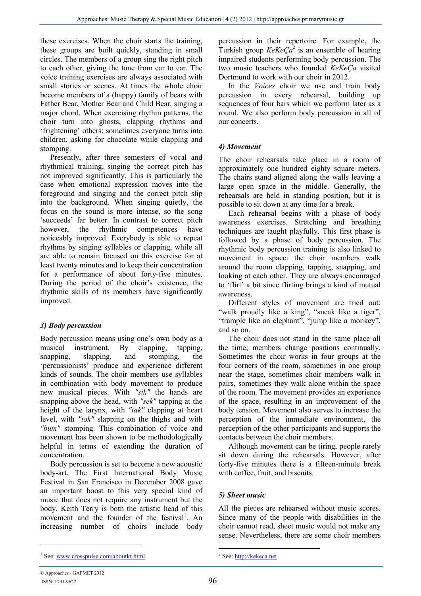these exercises. When the choir starts the training, these groups are built quickly, standing in small circles. The members of a group sing the right pitch to each other, giving the tone from ear to ear. The voice training exercises are always associated with small stories or scenes. At times the whole choir become members of a (happy) family of bears with Father Bear, Mother Bear and Child Bear, singing a major chord. When exercising rhythm patterns, the choir turn into ghosts, clapping rhythms and 'frightening' others; sometimes everyone turns into children, asking for chocolate while clapping and stomping.

Presently, after three semesters of vocal and rhythmical training, singing the correct pitch has not improved significantly. This is particularly the case when emotional expression moves into the foreground and singing and the correct pitch slip into the background. When singing quietly, the focus on the sound is more intense, so the song 'succeeds' far better. In contrast to correct pitch however, the rhythmic competences have noticeably improved. Everybody is able to repeat rhythms by singing syllables or clapping, while all are able to remain focused on this exercise for at least twenty minutes and to keep their concentration for a performance of about forty-five minutes. During the period of the choir's existence, the rhythmic skills of its members have significantly improved.

# *3) Body percussion*

Body percussion means using one's own body as a musical instrument. By clapping, tapping, snapping, slapping, and stomping, the 'percussionists' produce and experience different kinds of sounds. The choir members use syllables in combination with body movement to produce new musical pieces. With *"sik"* the hands are snapping above the head, with *"sek"* tapping at the height of the larynx, with *"tak"* clapping at heart level, with *"tok"* slapping on the thighs and with *"bum"* stomping. This combination of voice and movement has been shown to be methodologically helpful in terms of extending the duration of concentration.

Body percussion is set to become a new acoustic body-art. The First International Body Music Festival in San Francisco in December 2008 gave an important boost to this very special kind of music that does not require any instrument but the body. Keith Terry is both the artistic head of this movement and the founder of the festival<sup>1</sup>. An increasing number of choirs include body

percussion in their repertoire. For example, the Turkish group  $KeKe\zeta a^2$  is an ensemble of hearing impaired students performing body percussion. The two music teachers who founded *KeKeҪa* visited Dortmund to work with our choir in 2012.

In the *Voices* choir we use and train body percussion in every rehearsal, building up sequences of four bars which we perform later as a round. We also perform body percussion in all of our concerts.

# *4) Movement*

The choir rehearsals take place in a room of approximately one hundred eighty square meters. The chairs stand aligned along the walls leaving a large open space in the middle. Generally, the rehearsals are held in standing position, but it is possible to sit down at any time for a break.

Each rehearsal begins with a phase of body awareness exercises. Stretching and breathing techniques are taught playfully. This first phase is followed by a phase of body percussion. The rhythmic body percussion training is also linked to movement in space: the choir members walk around the room clapping, tapping, snapping, and looking at each other. They are always encouraged to 'flirt' a bit since flirting brings a kind of mutual awareness.

Different styles of movement are tried out: "walk proudly like a king", "sneak like a tiger", "trample like an elephant", "jump like a monkey", and so on.

The choir does not stand in the same place all the time; members change positions continually. Sometimes the choir works in four groups at the four corners of the room, sometimes in one group near the stage, sometimes choir members walk in pairs, sometimes they walk alone within the space of the room. The movement provides an experience of the space, resulting in an improvement of the body tension. Movement also serves to increase the perception of the immediate environment, the perception of the other participants and supports the contacts between the choir members.

Although movement can be tiring, people rarely sit down during the rehearsals. However, after forty-five minutes there is a fifteen-minute break with coffee, fruit, and biscuits.

# *5) Sheet music*

All the pieces are rehearsed without music scores. Since many of the people with disabilities in the choir cannot read, sheet music would not make any sense. Nevertheless, there are some choir members

 $\overline{a}$ 

<sup>&</sup>lt;sup>1</sup> See: www.crosspulse.com/aboutkt.html

<sup>-</sup><sup>2</sup> See: http://kekeca.net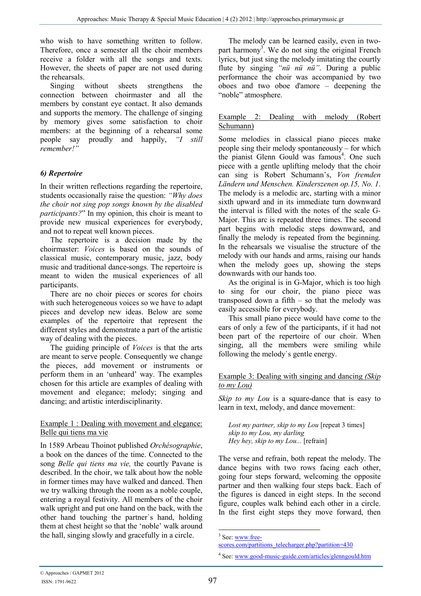who wish to have something written to follow. Therefore, once a semester all the choir members receive a folder with all the songs and texts. However, the sheets of paper are not used during the rehearsals.

Singing without sheets strengthens the connection between choirmaster and all the members by constant eye contact. It also demands and supports the memory. The challenge of singing by memory gives some satisfaction to choir members: at the beginning of a rehearsal some people say proudly and happily, *"I still remember!"*

# *6) Repertoire*

In their written reflections regarding the repertoire, students occasionally raise the question: *"Why does the choir not sing pop songs known by the disabled participants?*" In my opinion, this choir is meant to provide new musical experiences for everybody, and not to repeat well known pieces.

The repertoire is a decision made by the choirmaster: *Voices* is based on the sounds of classical music, contemporary music, jazz, body music and traditional dance-songs. The repertoire is meant to widen the musical experiences of all participants.

There are no choir pieces or scores for choirs with such heterogeneous voices so we have to adapt pieces and develop new ideas. Below are some examples of the repertoire that represent the different styles and demonstrate a part of the artistic way of dealing with the pieces.

The guiding principle of *Voices* is that the arts are meant to serve people. Consequently we change the pieces, add movement or instruments or perform them in an 'unheard' way. The examples chosen for this article are examples of dealing with movement and elegance; melody; singing and dancing; and artistic interdisciplinarity.

### Example 1 : Dealing with movement and elegance: Belle qui tiens ma vie

In 1589 Arbeau Thoinot published *Orchésographie*, a book on the dances of the time. Connected to the song *Belle qui tiens ma vie,* the courtly Pavane is described. In the choir, we talk about how the noble in former times may have walked and danced. Then we try walking through the room as a noble couple, entering a royal festivity. All members of the choir walk upright and put one hand on the back, with the other hand touching the partner`s hand, holding them at chest height so that the 'noble' walk around the hall, singing slowly and gracefully in a circle.

The melody can be learned easily, even in twopart harmony<sup>3</sup>. We do not sing the original French lyrics, but just sing the melody imitating the courtly flute by singing *"nü nü nü"*. During a public performance the choir was accompanied by two oboes and two oboe d'amore – deepening the "noble" atmosphere.

#### Example 2: Dealing with melody (Robert Schumann)

Some melodies in classical piano pieces make people sing their melody spontaneously – for which the pianist Glenn Gould was famous<sup>4</sup>. One such piece with a gentle uplifting melody that the choir can sing is Robert Schumann's, *Von fremden Ländern und Menschen. Kinderszenen op.15, No. 1*. The melody is a melodic arc, starting with a minor sixth upward and in its immediate turn downward the interval is filled with the notes of the scale G-Major. This arc is repeated three times. The second part begins with melodic steps downward, and finally the melody is repeated from the beginning. In the rehearsals we visualise the structure of the melody with our hands and arms, raising our hands when the melody goes up, showing the steps downwards with our hands too.

As the original is in G-Major, which is too high to sing for our choir, the piano piece was transposed down a fifth – so that the melody was easily accessible for everybody.

This small piano piece would have come to the ears of only a few of the participants, if it had not been part of the repertoire of our choir. When singing, all the members were smiling while following the melody`s gentle energy.

### Example 3: Dealing with singing and dancing *(Skip to my Lou)*

*Skip to my Lou* is a square-dance that is easy to learn in text, melody, and dance movement:

*Lost my partner, skip to my Lou* [repeat 3 times] *skip to my Lou, my darling Hey hey, skip to my Lou...* [refrain]

The verse and refrain, both repeat the melody. The dance begins with two rows facing each other, going four steps forward, welcoming the opposite partner and then walking four steps back. Each of the figures is danced in eight steps. In the second figure, couples walk behind each other in a circle. In the first eight steps they move forward, then

 $3$  See:  $\frac{www.free-}{$ 

scores.com/partitions\_telecharger.php?partition=430

<sup>&</sup>lt;sup>4</sup> See: www.good-music-guide.com/articles/glenngould.htm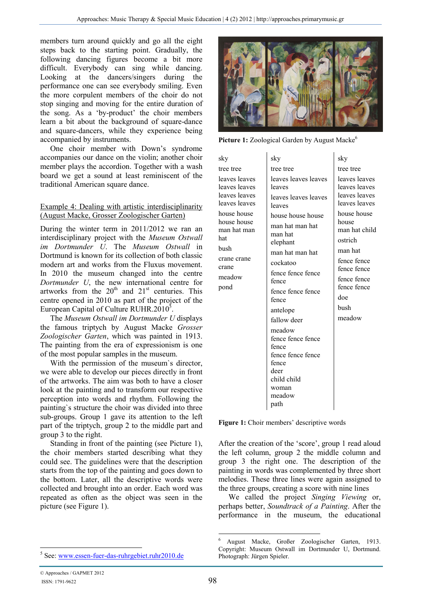members turn around quickly and go all the eight steps back to the starting point. Gradually, the following dancing figures become a bit more difficult. Everybody can sing while dancing. Looking at the dancers/singers during the performance one can see everybody smiling. Even the more corpulent members of the choir do not stop singing and moving for the entire duration of the song. As a 'by-product' the choir members learn a bit about the background of square-dance and square-dancers, while they experience being accompanied by instruments.

One choir member with Down's syndrome accompanies our dance on the violin; another choir member plays the accordion. Together with a wash board we get a sound at least reminiscent of the traditional American square dance.

#### Example 4: Dealing with artistic interdisciplinarity (August Macke, Grosser Zoologischer Garten)

During the winter term in 2011/2012 we ran an interdisciplinary project with the *Museum Ostwall im Dortmunder U*. The *Museum Ostwall* in Dortmund is known for its collection of both classic modern art and works from the Fluxus movement. In 2010 the museum changed into the centre *Dortmunder U*, the new international centre for artworks from the  $20<sup>th</sup>$  and  $21<sup>st</sup>$  centuries. This centre opened in 2010 as part of the project of the European Capital of Culture RUHR.2010 $^5$ .

The *Museum Ostwall im Dortmunder U* displays the famous triptych by August Macke *Grosser Zoologischer Garten*, which was painted in 1913. The painting from the era of expressionism is one of the most popular samples in the museum.

With the permission of the museum`s director, we were able to develop our pieces directly in front of the artworks. The aim was both to have a closer look at the painting and to transform our respective perception into words and rhythm. Following the painting`s structure the choir was divided into three sub-groups. Group 1 gave its attention to the left part of the triptych, group 2 to the middle part and group 3 to the right.

Standing in front of the painting (see Picture 1), the choir members started describing what they could see. The guidelines were that the description starts from the top of the painting and goes down to the bottom. Later, all the descriptive words were collected and brought into an order. Each word was repeated as often as the object was seen in the picture (see Figure 1).



Picture 1: Zoological Garden by August Macke<sup>6</sup>

| tree tree<br>tree tree<br>tree tree<br>leaves leaves<br>leaves leaves leaves<br>leaves leaves<br>leaves leaves<br>leaves leaves<br>leaves<br>leaves leaves<br>leaves leaves<br>leaves leaves leaves<br>leaves leaves<br>leaves leaves<br>leaves<br>house house<br>house house<br>house house house<br>house house<br>house<br>man hat man hat<br>man hat man<br>man hat<br>hat<br>ostrich    | sky | sky      | sky           |
|----------------------------------------------------------------------------------------------------------------------------------------------------------------------------------------------------------------------------------------------------------------------------------------------------------------------------------------------------------------------------------------------|-----|----------|---------------|
|                                                                                                                                                                                                                                                                                                                                                                                              |     |          |               |
|                                                                                                                                                                                                                                                                                                                                                                                              |     |          |               |
| bush<br>man hat<br>man hat man hat<br>crane crane<br>fence fence<br>cockatoo<br>crane<br>fence fence<br>fence fence fence<br>meadow<br>fence fence<br>fence<br>fence fence<br>pond<br>fence fence fence<br>doe<br>fence<br>hush<br>antelope<br>meadow<br>fallow deer<br>meadow<br>fence fence fence<br>fence<br>fence fence fence<br>fence<br>deer<br>child child<br>woman<br>meadow<br>path |     | elephant | man hat child |

Figure 1: Choir members' descriptive words

After the creation of the 'score', group 1 read aloud the left column, group 2 the middle column and group 3 the right one. The description of the painting in words was complemented by three short melodies. These three lines were again assigned to the three groups, creating a score with nine lines

We called the project *Singing Viewing* or, perhaps better, *Soundtrack of a Painting*. After the performance in the museum, the educational

 $\overline{a}$ 

-

<sup>6</sup> August Macke, Großer Zoologischer Garten, 1913. Copyright: Museum Ostwall im Dortmunder U, Dortmund. Photograph: Jürgen Spieler.

<sup>5</sup> See: www.essen-fuer-das-ruhrgebiet.ruhr2010.de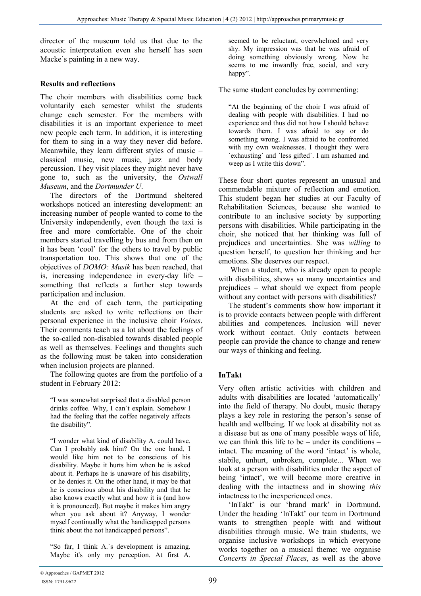director of the museum told us that due to the acoustic interpretation even she herself has seen Macke`s painting in a new way.

### **Results and reflections**

The choir members with disabilities come back voluntarily each semester whilst the students change each semester. For the members with disabilities it is an important experience to meet new people each term. In addition, it is interesting for them to sing in a way they never did before. Meanwhile, they learn different styles of music – classical music, new music, jazz and body percussion. They visit places they might never have gone to, such as the university, the *Ostwall Museum*, and the *Dortmunder U*.

The directors of the Dortmund sheltered workshops noticed an interesting development: an increasing number of people wanted to come to the University independently, even though the taxi is free and more comfortable. One of the choir members started travelling by bus and from then on it has been 'cool' for the others to travel by public transportation too. This shows that one of the objectives of *DOMO: Musik* has been reached, that is, increasing independence in every-day life – something that reflects a further step towards participation and inclusion.

At the end of each term, the participating students are asked to write reflections on their personal experience in the inclusive choir *Voices*. Their comments teach us a lot about the feelings of the so-called non-disabled towards disabled people as well as themselves. Feelings and thoughts such as the following must be taken into consideration when inclusion projects are planned.

The following quotes are from the portfolio of a student in February 2012:

"I was somewhat surprised that a disabled person drinks coffee. Why, I can`t explain. Somehow I had the feeling that the coffee negatively affects the disability".

"I wonder what kind of disability A. could have. Can I probably ask him? On the one hand, I would like him not to be conscious of his disability. Maybe it hurts him when he is asked about it. Perhaps he is unaware of his disability, or he denies it. On the other hand, it may be that he is conscious about his disability and that he also knows exactly what and how it is (and how it is pronounced). But maybe it makes him angry when you ask about it? Anyway, I wonder myself continually what the handicapped persons think about the not handicapped persons".

"So far, I think A.`s development is amazing. Maybe it's only my perception. At first A. seemed to be reluctant, overwhelmed and very shy. My impression was that he was afraid of doing something obviously wrong. Now he seems to me inwardly free, social, and very happy".

The same student concludes by commenting:

"At the beginning of the choir I was afraid of dealing with people with disabilities. I had no experience and thus did not how I should behave towards them. I was afraid to say or do something wrong. I was afraid to be confronted with my own weaknesses. I thought they were `exhausting` and `less gifted`. I am ashamed and weep as I write this down".

These four short quotes represent an unusual and commendable mixture of reflection and emotion. This student began her studies at our Faculty of Rehabilitation Sciences, because she wanted to contribute to an inclusive society by supporting persons with disabilities. While participating in the choir, she noticed that her thinking was full of prejudices and uncertainties. She was *willing* to question herself, to question her thinking and her emotions. She deserves our respect.

 When a student, who is already open to people with disabilities, shows so many uncertainties and prejudices – what should we expect from people without any contact with persons with disabilities?

The student's comments show how important it is to provide contacts between people with different abilities and competences. Inclusion will never work without contact. Only contacts between people can provide the chance to change and renew our ways of thinking and feeling.

# **InTakt**

Very often artistic activities with children and adults with disabilities are located 'automatically' into the field of therapy. No doubt, music therapy plays a key role in restoring the person's sense of health and wellbeing. If we look at disability not as a disease but as one of many possible ways of life, we can think this life to be – under its conditions – intact. The meaning of the word 'intact' is whole, stabile, unhurt, unbroken, complete... When we look at a person with disabilities under the aspect of being 'intact', we will become more creative in dealing with the intactness and in showing *this* intactness to the inexperienced ones.

'InTakt' is our 'brand mark' in Dortmund. Under the heading 'InTakt' our team in Dortmund wants to strengthen people with and without disabilities through music. We train students, we organise inclusive workshops in which everyone works together on a musical theme; we organise *Concerts in Special Places*, as well as the above